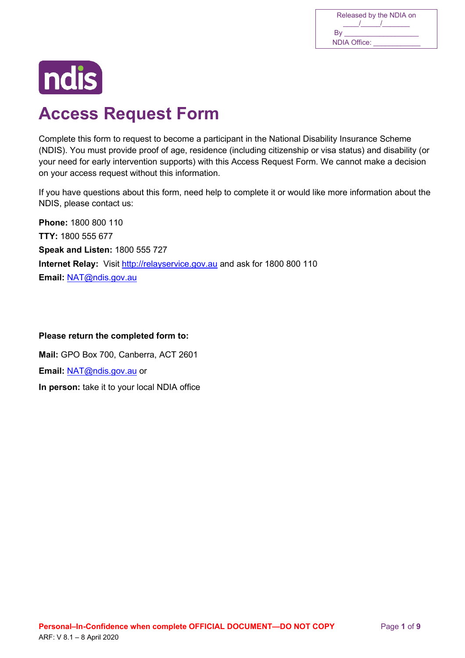| Released by the NDIA on |
|-------------------------|
|                         |
| Bv                      |
| NDIA Office:            |



# **Access Request Form**

 Complete this form to request to become a participant in the National Disability Insurance Scheme (NDIS). You must provide proof of age, residence (including citizenship or visa status) and disability (or your need for early intervention supports) with this Access Request Form. We cannot make a decision on your access request without this information.

If you have questions about this form, need help to complete it or would like more information about the NDIS, please contact us:

**Internet Relay:** Visit http://relayservice.gov.au and ask for 1800 800 110 **Phone:** 1800 800 110 **TTY:** 1800 555 677 **Speak and Listen:** 1800 555 727 **Email:** NAT@ndis.gov.au

# **Please return the completed form to:**

 **In person:** take it to your local NDIA office **Mail:** GPO Box 700, Canberra, ACT 2601 **Email:** NAT@ndis.gov.au or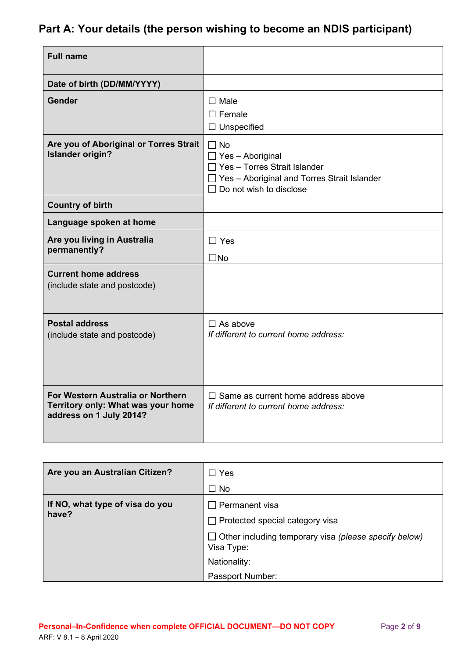# **Part A: Your details (the person wishing to become an NDIS participant)**

| <b>Full name</b>                                                                                   |                                                                                                                                                              |
|----------------------------------------------------------------------------------------------------|--------------------------------------------------------------------------------------------------------------------------------------------------------------|
| Date of birth (DD/MM/YYYY)                                                                         |                                                                                                                                                              |
| Gender                                                                                             | $\Box$ Male<br>$\Box$ Female<br>$\Box$ Unspecified                                                                                                           |
| Are you of Aboriginal or Torres Strait<br><b>Islander origin?</b>                                  | $\Box$ No<br>$\Box$ Yes - Aboriginal<br>$\Box$ Yes - Torres Strait Islander<br>$\Box$ Yes - Aboriginal and Torres Strait Islander<br>Do not wish to disclose |
| <b>Country of birth</b>                                                                            |                                                                                                                                                              |
| Language spoken at home                                                                            |                                                                                                                                                              |
| Are you living in Australia<br>permanently?                                                        | $\Box$ Yes<br>$\square$ No                                                                                                                                   |
| <b>Current home address</b><br>(include state and postcode)                                        |                                                                                                                                                              |
| <b>Postal address</b><br>(include state and postcode)                                              | $\Box$ As above<br>If different to current home address:                                                                                                     |
| For Western Australia or Northern<br>Territory only: What was your home<br>address on 1 July 2014? | $\Box$ Same as current home address above<br>If different to current home address:                                                                           |

| Are you an Australian Citizen?           | Yes<br>$\mathsf{L}$<br>$\Box$ No                                           |
|------------------------------------------|----------------------------------------------------------------------------|
| If NO, what type of visa do you<br>have? | $\Box$ Permanent visa                                                      |
|                                          | $\Box$ Protected special category visa                                     |
|                                          | $\Box$ Other including temporary visa (please specify below)<br>Visa Type: |
|                                          | Nationality:                                                               |
|                                          | Passport Number:                                                           |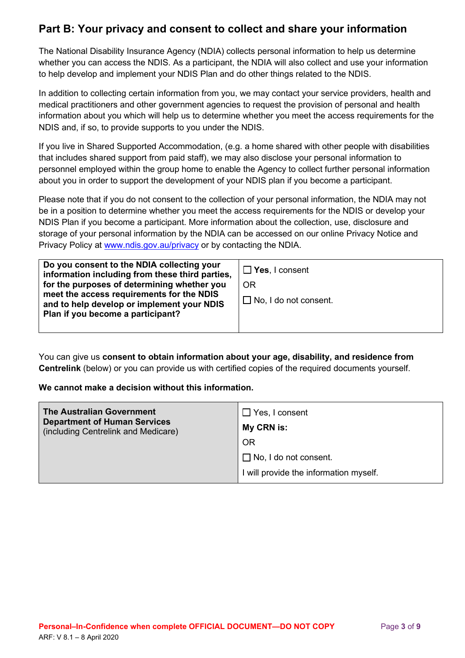# **Part B: Your privacy and consent to collect and share your information**

 The National Disability Insurance Agency (NDIA) collects personal information to help us determine whether you can access the NDIS. As a participant, the NDIA will also collect and use your information to help develop and implement your NDIS Plan and do other things related to the NDIS.

 information about you which will help us to determine whether you meet the access requirements for the In addition to collecting certain information from you, we may contact your service providers, health and medical practitioners and other government agencies to request the provision of personal and health NDIS and, if so, to provide supports to you under the NDIS.

 personnel employed within the group home to enable the Agency to collect further personal information If you live in Shared Supported Accommodation, (e.g. a home shared with other people with disabilities that includes shared support from paid staff), we may also disclose your personal information to about you in order to support the development of your NDIS plan if you become a participant.

 Please note that if you do not consent to the collection of your personal information, the NDIA may not be in a position to determine whether you meet the access requirements for the NDIS or develop your NDIS Plan if you become a participant. More information about the collection, use, disclosure and storage of your personal information by the NDIA can be accessed on our online Privacy Notice and Privacy Policy at www.ndis.gov.au/privacy or by contacting the NDIA.

| Do you consent to the NDIA collecting your<br>information including from these third parties,                                                                               | $\Box$ Yes, I consent              |
|-----------------------------------------------------------------------------------------------------------------------------------------------------------------------------|------------------------------------|
| for the purposes of determining whether you<br>meet the access requirements for the NDIS<br>and to help develop or implement your NDIS<br>Plan if you become a participant? | 0R<br>$\Box$ No, I do not consent. |
|                                                                                                                                                                             |                                    |

You can give us **consent to obtain information about your age, disability, and residence from Centrelink** (below) or you can provide us with certified copies of the required documents yourself.

### **We cannot make a decision without this information.**

| <b>The Australian Government</b><br><b>Department of Human Services</b><br>(including Centrelink and Medicare) | $\Box$ Yes, I consent<br>My CRN is:    |
|----------------------------------------------------------------------------------------------------------------|----------------------------------------|
|                                                                                                                | <b>OR</b>                              |
|                                                                                                                | $\Box$ No, I do not consent.           |
|                                                                                                                | I will provide the information myself. |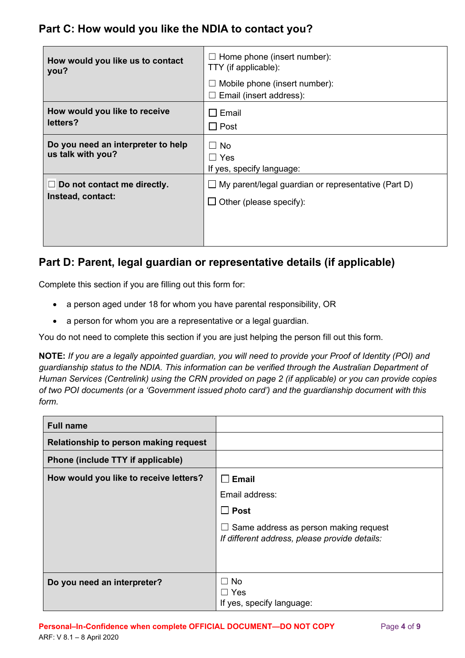# **Part C: How would you like the NDIA to contact you?**

| How would you like us to contact<br>you?                | $\Box$ Home phone (insert number):<br>TTY (if applicable):<br>Mobile phone (insert number):<br>ப<br>Email (insert address):<br>$\sqcup$ |
|---------------------------------------------------------|-----------------------------------------------------------------------------------------------------------------------------------------|
| How would you like to receive                           | $\Box$ Email                                                                                                                            |
| letters?                                                | $\Box$ Post                                                                                                                             |
| Do you need an interpreter to help<br>us talk with you? | $\Box$ No<br>$\Box$ Yes<br>If yes, specify language:                                                                                    |
| Do not contact me directly.                             | $\Box$ My parent/legal guardian or representative (Part D)                                                                              |
| Instead, contact:                                       | $\Box$ Other (please specify):                                                                                                          |

# **Part D: Parent, legal guardian or representative details (if applicable)**

Complete this section if you are filling out this form for:

- a person aged under 18 for whom you have parental responsibility, OR
- a person for whom you are a representative or a legal guardian.

You do not need to complete this section if you are just helping the person fill out this form.

 **NOTE:** *If you are a legally appointed guardian, you will need to provide your Proof of Identity (POI) and of two POI documents (or a 'Government issued photo card') and the guardianship document with this form. guardianship status to the NDIA. This information can be verified through the Australian Department of Human Services (Centrelink) using the CRN provided on page 2 (if applicable) or you can provide copies* 

| <b>Full name</b>                       |                                                                                        |
|----------------------------------------|----------------------------------------------------------------------------------------|
| Relationship to person making request  |                                                                                        |
| Phone (include TTY if applicable)      |                                                                                        |
| How would you like to receive letters? | $\square$ Email                                                                        |
|                                        | Email address:                                                                         |
|                                        | $\Box$ Post                                                                            |
|                                        | Same address as person making request<br>If different address, please provide details: |
| Do you need an interpreter?            | No<br>$\Box$ Yes<br>If yes, specify language:                                          |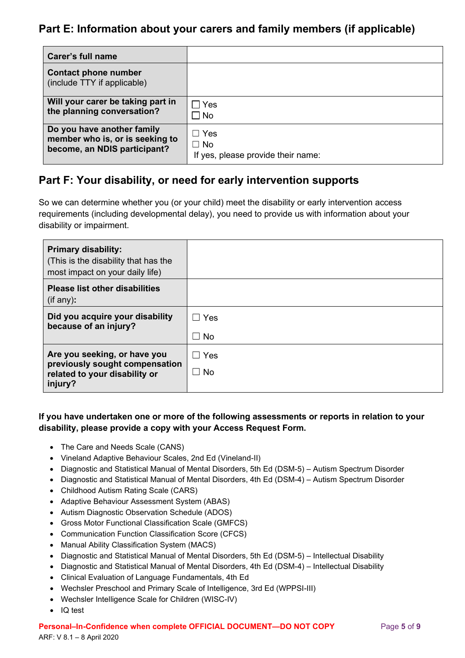# **Part E: Information about your carers and family members (if applicable)**

| <b>Carer's full name</b>                                   |                                    |
|------------------------------------------------------------|------------------------------------|
| <b>Contact phone number</b><br>(include TTY if applicable) |                                    |
| Will your carer be taking part in                          | $\sqsupset$ Yes                    |
| the planning conversation?                                 | $\Box$ No                          |
| Do you have another family                                 | Yes                                |
| member who is, or is seeking to                            | $\Box$ No                          |
| become, an NDIS participant?                               | If yes, please provide their name: |

# **Part F: Your disability, or need for early intervention supports**

So we can determine whether you (or your child) meet the disability or early intervention access requirements (including developmental delay), you need to provide us with information about your disability or impairment.

| <b>Primary disability:</b><br>(This is the disability that has the<br>most impact on your daily life) |           |
|-------------------------------------------------------------------------------------------------------|-----------|
| <b>Please list other disabilities</b><br>$($ if any $)$ :                                             |           |
| Did you acquire your disability                                                                       | Yes       |
| because of an injury?                                                                                 | $\Box$ No |
| Are you seeking, or have you                                                                          | Yes       |
| previously sought compensation<br>related to your disability or                                       | No.       |
| injury?                                                                                               |           |

# **If you have undertaken one or more of the following assessments or reports in relation to your disability, please provide a copy with your Access Request Form.**

- The Care and Needs Scale (CANS)
- Vineland Adaptive Behaviour Scales, 2nd Ed (Vineland-II)
- Diagnostic and Statistical Manual of Mental Disorders, 5th Ed (DSM-5) Autism Spectrum Disorder
- Diagnostic and Statistical Manual of Mental Disorders, 4th Ed (DSM-4) Autism Spectrum Disorder
- Childhood Autism Rating Scale (CARS)
- Adaptive Behaviour Assessment System (ABAS)
- Autism Diagnostic Observation Schedule (ADOS)
- Gross Motor Functional Classification Scale (GMFCS)
- Communication Function Classification Score (CFCS)
- Manual Ability Classification System (MACS)
- x Diagnostic and Statistical Manual of Mental Disorders, 5th Ed (DSM-5) Intellectual Disability
- Diagnostic and Statistical Manual of Mental Disorders, 4th Ed (DSM-4) Intellectual Disability
- Clinical Evaluation of Language Fundamentals, 4th Ed
- Wechsler Preschool and Primary Scale of Intelligence, 3rd Ed (WPPSI-III)
- Wechsler Intelligence Scale for Children (WISC-IV)
- IQ test

#### **Personal–In-Confidence when complete OFFICIAL DOCUMENT—DO NOT COPY Page 5 of 9**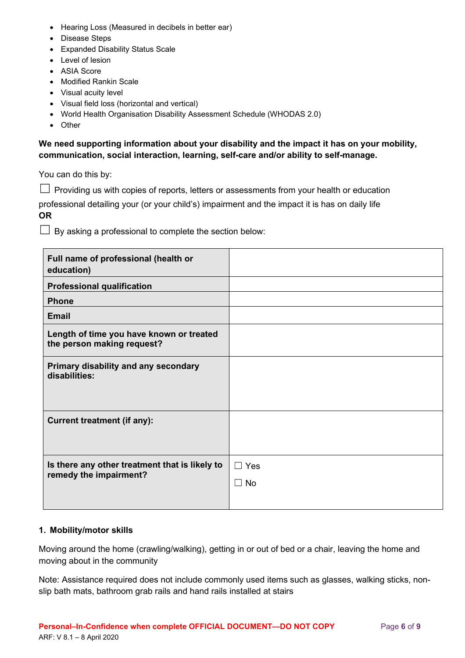- Hearing Loss (Measured in decibels in better ear)
- Disease Steps
- Expanded Disability Status Scale
- Level of lesion
- ASIA Score
- Modified Rankin Scale
- Visual acuity level
- Visual field loss (horizontal and vertical)
- World Health Organisation Disability Assessment Schedule (WHODAS 2.0)
- Other

### **communication, social interaction, learning, self-care and/or ability to self-manage. We need supporting information about your disability and the impact it has on your mobility,**

You can do this by:

 $\Box$  Providing us with copies of reports, letters or assessments from your health or education

 professional detailing your (or your child's) impairment and the impact it is has on daily life **OR** 

 $\Box$  By asking a professional to complete the section below:

| Full name of professional (health or<br>education)                       |                         |
|--------------------------------------------------------------------------|-------------------------|
| <b>Professional qualification</b>                                        |                         |
| <b>Phone</b>                                                             |                         |
| <b>Email</b>                                                             |                         |
| Length of time you have known or treated<br>the person making request?   |                         |
| Primary disability and any secondary<br>disabilities:                    |                         |
| <b>Current treatment (if any):</b>                                       |                         |
| Is there any other treatment that is likely to<br>remedy the impairment? | $\Box$ Yes<br>$\Box$ No |

#### **1. Mobility/motor skills**

Moving around the home (crawling/walking), getting in or out of bed or a chair, leaving the home and moving about in the community

Note: Assistance required does not include commonly used items such as glasses, walking sticks, nonslip bath mats, bathroom grab rails and hand rails installed at stairs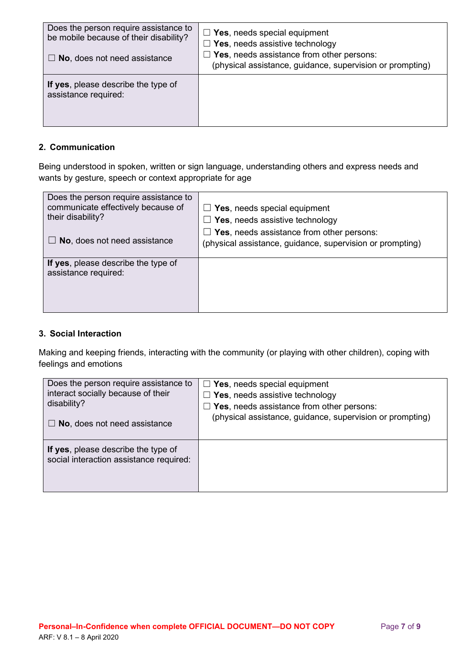| Does the person require assistance to<br>be mobile because of their disability?<br>$\Box$ No, does not need assistance | $\Box$ Yes, needs special equipment<br>$\Box$ Yes, needs assistive technology<br>$\Box$ Yes, needs assistance from other persons:<br>(physical assistance, guidance, supervision or prompting) |
|------------------------------------------------------------------------------------------------------------------------|------------------------------------------------------------------------------------------------------------------------------------------------------------------------------------------------|
| If yes, please describe the type of<br>assistance required:                                                            |                                                                                                                                                                                                |

### **2. Communication**

Being understood in spoken, written or sign language, understanding others and express needs and wants by gesture, speech or context appropriate for age

| Does the person require assistance to<br>communicate effectively because of<br>their disability? | $\Box$ Yes, needs special equipment<br>$\Box$ Yes, needs assistive technology                                 |
|--------------------------------------------------------------------------------------------------|---------------------------------------------------------------------------------------------------------------|
| $\Box$ No, does not need assistance                                                              | $\Box$ Yes, needs assistance from other persons:<br>(physical assistance, guidance, supervision or prompting) |
| If yes, please describe the type of<br>assistance required:                                      |                                                                                                               |
|                                                                                                  |                                                                                                               |

### **3. Social Interaction**

Making and keeping friends, interacting with the community (or playing with other children), coping with feelings and emotions

| Does the person require assistance to                                          | $\Box$ Yes, needs special equipment                       |
|--------------------------------------------------------------------------------|-----------------------------------------------------------|
| interact socially because of their                                             | $\Box$ Yes, needs assistive technology                    |
| disability?                                                                    | $\Box$ Yes, needs assistance from other persons:          |
| $\Box$ No, does not need assistance                                            | (physical assistance, guidance, supervision or prompting) |
| If yes, please describe the type of<br>social interaction assistance required: |                                                           |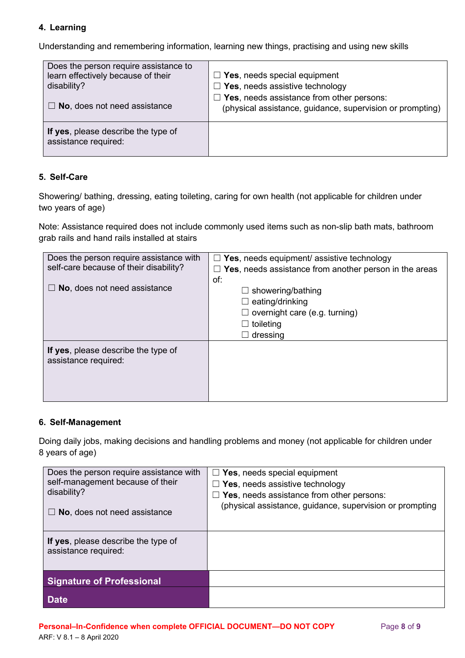# **4. Learning**

Understanding and remembering information, learning new things, practising and using new skills

| Does the person require assistance to                       | $\Box$ Yes, needs special equipment                       |
|-------------------------------------------------------------|-----------------------------------------------------------|
| learn effectively because of their                          | $\Box$ Yes, needs assistive technology                    |
| disability?                                                 | $\Box$ Yes, needs assistance from other persons:          |
| $\Box$ No, does not need assistance                         | (physical assistance, guidance, supervision or prompting) |
| If yes, please describe the type of<br>assistance required: |                                                           |

### **5. Self-Care**

Showering/ bathing, dressing, eating toileting, caring for own health (not applicable for children under two years of age)

Note: Assistance required does not include commonly used items such as non-slip bath mats, bathroom grab rails and hand rails installed at stairs

| Does the person require assistance with                     | $\Box$ Yes, needs equipment/ assistive technology                                                                                       |
|-------------------------------------------------------------|-----------------------------------------------------------------------------------------------------------------------------------------|
| self-care because of their disability?                      | Yes, needs assistance from another person in the areas                                                                                  |
| No, does not need assistance                                | of:<br>showering/bathing<br>ப<br>eating/drinking<br>ப<br>$\Box$ overnight care (e.g. turning)<br>$\Box$ toileting<br>dressing<br>$\Box$ |
| If yes, please describe the type of<br>assistance required: |                                                                                                                                         |

### **6. Self-Management**

 Doing daily jobs, making decisions and handling problems and money (not applicable for children under 8 years of age)

| Does the person require assistance with<br>self-management because of their<br>disability?<br>$\Box$ No, does not need assistance | $\Box$ Yes, needs special equipment<br>$\Box$ Yes, needs assistive technology<br>$\Box$ Yes, needs assistance from other persons:<br>(physical assistance, guidance, supervision or prompting |
|-----------------------------------------------------------------------------------------------------------------------------------|-----------------------------------------------------------------------------------------------------------------------------------------------------------------------------------------------|
| If yes, please describe the type of<br>assistance required:                                                                       |                                                                                                                                                                                               |
| <b>Signature of Professional</b>                                                                                                  |                                                                                                                                                                                               |
| <b>Date</b>                                                                                                                       |                                                                                                                                                                                               |